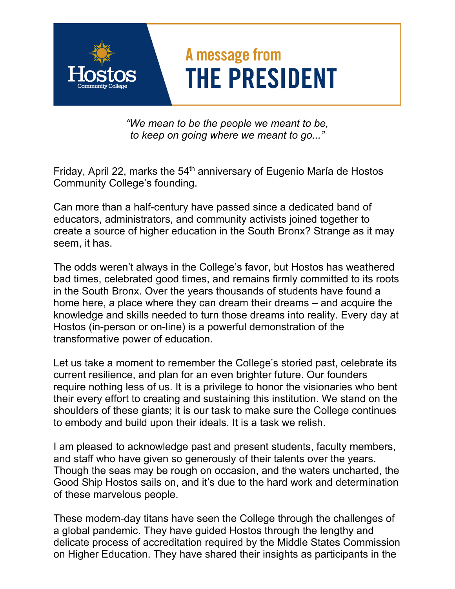## A message from **THE PRESIDENT**

*"We mean to be the people we meant to be, to keep on going where we meant to go..."* 

Friday, April 22, marks the  $54<sup>th</sup>$  anniversary of Eugenio María de Hostos Community College's founding.

Can more than a half-century have passed since a dedicated band of educators, administrators, and community activists joined together to create a source of higher education in the South Bronx? Strange as it may seem, it has.

The odds weren't always in the College's favor, but Hostos has weathered bad times, celebrated good times, and remains firmly committed to its roots in the South Bronx. Over the years thousands of students have found a home here, a place where they can dream their dreams – and acquire the knowledge and skills needed to turn those dreams into reality. Every day at Hostos (in-person or on-line) is a powerful demonstration of the transformative power of education.

Let us take a moment to remember the College's storied past, celebrate its current resilience, and plan for an even brighter future. Our founders require nothing less of us. It is a privilege to honor the visionaries who bent their every effort to creating and sustaining this institution. We stand on the shoulders of these giants; it is our task to make sure the College continues to embody and build upon their ideals. It is a task we relish.

I am pleased to acknowledge past and present students, faculty members, and staff who have given so generously of their talents over the years. Though the seas may be rough on occasion, and the waters uncharted, the Good Ship Hostos sails on, and it's due to the hard work and determination of these marvelous people.

These modern-day titans have seen the College through the challenges of a global pandemic. They have guided Hostos through the lengthy and delicate process of accreditation required by the Middle States Commission on Higher Education. They have shared their insights as participants in the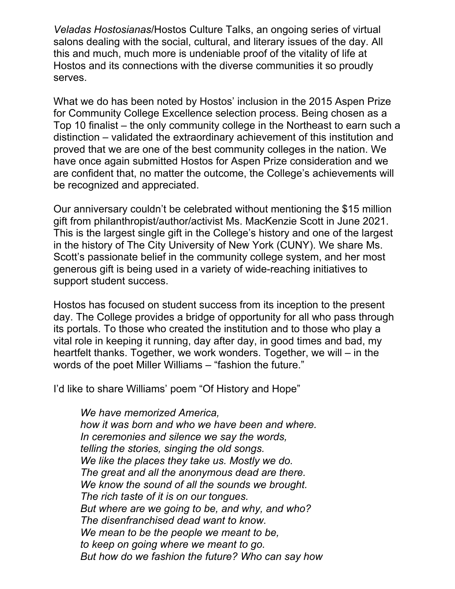*Veladas Hostosianas*/Hostos Culture Talks, an ongoing series of virtual salons dealing with the social, cultural, and literary issues of the day. All this and much, much more is undeniable proof of the vitality of life at Hostos and its connections with the diverse communities it so proudly serves.

What we do has been noted by Hostos' inclusion in the 2015 Aspen Prize for Community College Excellence selection process. Being chosen as a Top 10 finalist – the only community college in the Northeast to earn such a distinction – validated the extraordinary achievement of this institution and proved that we are one of the best community colleges in the nation. We have once again submitted Hostos for Aspen Prize consideration and we are confident that, no matter the outcome, the College's achievements will be recognized and appreciated.

Our anniversary couldn't be celebrated without mentioning the \$15 million gift from philanthropist/author/activist Ms. MacKenzie Scott in June 2021. This is the largest single gift in the College's history and one of the largest in the history of The City University of New York (CUNY). We share Ms. Scott's passionate belief in the community college system, and her most generous gift is being used in a variety of wide-reaching initiatives to support student success.

Hostos has focused on student success from its inception to the present day. The College provides a bridge of opportunity for all who pass through its portals. To those who created the institution and to those who play a vital role in keeping it running, day after day, in good times and bad, my heartfelt thanks. Together, we work wonders. Together, we will – in the words of the poet Miller Williams – "fashion the future."

I'd like to share Williams' poem "Of History and Hope"

*We have memorized America, how it was born and who we have been and where. In ceremonies and silence we say the words, telling the stories, singing the old songs. We like the places they take us. Mostly we do. The great and all the anonymous dead are there. We know the sound of all the sounds we brought. The rich taste of it is on our tongues. But where are we going to be, and why, and who? The disenfranchised dead want to know. We mean to be the people we meant to be, to keep on going where we meant to go. But how do we fashion the future? Who can say how*